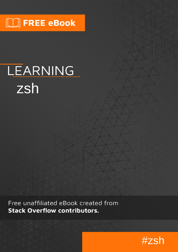# $\Box$  FREE eBook

# LEARNING zsh

Free unaffiliated eBook created from **Stack Overflow contributors.** 

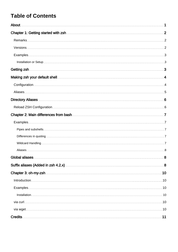### **Table of Contents**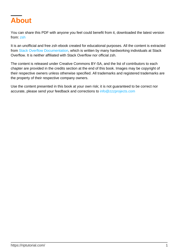<span id="page-2-0"></span>

You can share this PDF with anyone you feel could benefit from it, downloaded the latest version from: [zsh](http://riptutorial.com/ebook/zsh)

It is an unofficial and free zsh ebook created for educational purposes. All the content is extracted from [Stack Overflow Documentation](https://archive.org/details/documentation-dump.7z), which is written by many hardworking individuals at Stack Overflow. It is neither affiliated with Stack Overflow nor official zsh.

The content is released under Creative Commons BY-SA, and the list of contributors to each chapter are provided in the credits section at the end of this book. Images may be copyright of their respective owners unless otherwise specified. All trademarks and registered trademarks are the property of their respective company owners.

Use the content presented in this book at your own risk; it is not guaranteed to be correct nor accurate, please send your feedback and corrections to [info@zzzprojects.com](mailto:info@zzzprojects.com)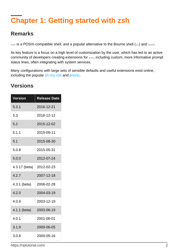# <span id="page-3-0"></span>**Chapter 1: Getting started with zsh**

### <span id="page-3-1"></span>**Remarks**

zsh is a POSIX-compatible shell, and a popular alternative to the Bourne shell (sh) and bash.

Its key feature is a focus on a high level of customization by the user, which has led to an active community of developers creating extensions for zsh, including custom, more informative prompt status lines, often integrating with system services.

Many configurations with large sets of sensible defaults and useful extensions exist online, including the popular [oh-my-zsh](http://ohmyz.sh/) and [prezto](https://github.com/sorin-ionescu/prezto).

### <span id="page-3-2"></span>**Versions**

| <b>Version</b> | <b>Release Date</b> |  |
|----------------|---------------------|--|
| 5.3.1          | 2016-12-21          |  |
| 5.3            | 2016-12-12          |  |
| 5.2            | 2015-12-02          |  |
| 5.1.1          | 2015-09-11          |  |
| 5.1            | 2015-08-30          |  |
| 5.0.8          | 2015-05-31          |  |
| 5.0.0          | 2012-07-24          |  |
| 4.3.17 (beta)  | 2012-02-23          |  |
| 4.2.7          | 2007-12-18          |  |
| 4.3.1 (beta)   | 2006-02-28          |  |
| 4.2.0          | 2004-03-19          |  |
| 4.0.9          | 2003-12-19          |  |
| 4.1.1 (beta)   | 2003-06-19          |  |
| 4.0.1          | 2001-06-01          |  |
| 3.1.9          | 2000-06-05          |  |
| 3.0.8          | 2000-05-16          |  |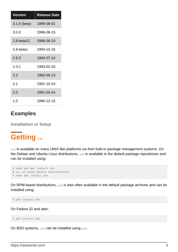| <b>Version</b> | <b>Release Date</b> |
|----------------|---------------------|
| 3.1.6 (beta)   | 1999-08-01          |
| 3.0.0          | 1996-08-15          |
| 2.6-beta21     | 1996-06-19          |
| $2.6$ -beta1   | 1994-10-16          |
| 2.5.0          | 1994-07-14          |
| 2.3.1          | 1993-02-20          |
| 2.2            | 1992-05-13          |
| 2.1            | 1991-10-24          |
| 2.0            | 1991-04-24          |
| 1.0            | 1990-12-15          |

### <span id="page-4-0"></span>**Examples**

<span id="page-4-1"></span>**Installation or Setup**

# <span id="page-4-2"></span>**Getting zsh**

zsh is available on many UNIX-like platforms via their built-in package management systems. On the Debian and Ubuntu Linux distributions, zsh is available in the default package repositories and can be installed using:

```
$ sudo apt-get install zsh
# or, on newer Ubuntu distributions
$ sudo apt install zsh
```
On RPM-based distributions, zsh is also often available in the default package archives and can be installed using:

\$ yum install zsh

On Fedora 22 and later:

\$ dnf install zsh

On BSD systems, zsh can be installed using pkg: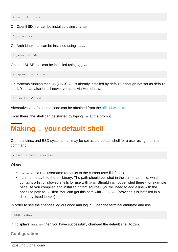\$ pkg install zsh

On OpenBSD, zsh can be installed using pkg\_add:

\$ pkg\_add zsh

On Arch Linux, zsh can be installed using pacman:

```
$ pacman -S zsh
```
On openSUSE, zsh can be installed using zypper:

```
$ zypper install zsh
```
On systems running macOS (OS X) zsh is already installed by default, although not set as default shell. You can also install newer versions via Homebrew:

\$ brew install zsh

Alternatively, zsh's source code can be obtained from the [official website.](http://zsh.sourceforge.net/)

<span id="page-5-0"></span>From there, the shell can be started by typing  $zsh$  at the prompt.

# **Making zsh your default shell**

On most Linux and BSD systems, zsh may be set as the default shell for a user using the chsh command:

\$ chsh -s shell [username]

**Where** 

- username is a real username (defaults to the current user if left out)
- $\bullet$  shell is the path to the zsh binary. The path should be listed in the /etc/shells file, which contains a list of allowed shells for use with chsh. Should zsh not be listed there - for example because you compiled and installed it from source - you will need to add a line with the absolute path to  $zsh$  first. You can get this path with  $which zsh$  (provided it is installed in a directory listed in PATH)

In order to see the changes log out once and log in. Open the terminal emulator and use

`echo \$SHELL`

<span id="page-5-1"></span>If it displays /bin/zsh then you have successfully changed the default shell to zsh.

#### **Configuration**

https://riptutorial.com/ 4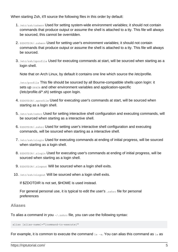When starting Zsh, it'll source the following files in this order by default:

- 1. /etc/zsh/zshenv Used for setting system-wide environment variables; it should not contain commands that produce output or assume the shell is attached to a tty. This file will always be sourced, this cannot be overridden.
- 2. \$ZDOTDIR/.zshenv Used for setting user's environment variables; it should not contain commands that produce output or assume the shell is attached to a tty. This file will always be sourced.
- 3.  $/etc/zsh/zprofile$  Used for executing commands at start, will be sourced when starting as a login shell.

Note that on Arch Linux, by default it contains one line which source the /etc/profile.

/etc/profile This file should be sourced by all Bourne-compatible shells upon login: it sets up **\$PATH** and other environment variables and application-specific (/etc/profile.d/\*.sh) settings upon login.

- 4. \$ZDOTDIR/.zprofile Used for executing user's commands at start, will be sourced when starting as a login shell.
- 5. /etc/zsh/zshrc Used for setting interactive shell configuration and executing commands, will be sourced when starting as a interactive shell.
- 6. \$ZDOTDIR/.zshrc Used for setting user's interactive shell configuration and executing commands, will be sourced when starting as a interactive shell.
- 7. /etc/zsh/zlogin Used for executing commands at ending of initial progress, will be sourced when starting as a login shell.
- 8. SZDOTDIR/.zlogin Used for executing user's commands at ending of initial progress, will be sourced when starting as a login shell.
- 9. \$ZDOTDIR/.zlogout Will be sourced when a login shell exits.
- 10. /etc/zsh/zlogout Will be sourced when a login shell exits.

If \$ZDOTDIR is not set, \$HOME is used instead.

For general personal use, it is typical to edit the user's . zshrc file for personal preferences

#### <span id="page-6-0"></span>**Aliases**

To alias a command in you  $\sim/$ . zshrc file, you can use the following syntax:

alias [alias-name]="[command-to-execute]"

For example, it is common to execute the command  $1s - a$ . You can alias this command as  $1a$  as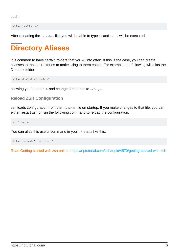such:

alias la="ls -a"

<span id="page-7-0"></span>After reloading the  $\sim/$ . zshrc file, you will be able to type  $1a$  and  $1s$  -a will be executed.

# **Directory Aliases**

It is common to have certain folders that you  $cd$  into often. If this is the case, you can create aliasses to those directories to make  $_{\text{c}\text{diag}}$  to them easier. For example, the following will alias the Dropbox folder:

alias db="cd ~/Dropbox"

<span id="page-7-1"></span>allowing you to enter  $d\mathbf{b}$  and change directories to  $\sim$ /Dropbox.

**Reload ZSH Configuration**

zsh loads configuration from the  $\frac{2}{3}$  zshre file on startup. If you make changes to that file, you can either restart zsh or run the following command to reload the configuration.

. ~/.zshrc

You can alias this useful command in your  $\sqrt{2}$ , zshrc like this:

```
alias reload=". ~/.zshrc"
```
Read Getting started with zsh online:<https://riptutorial.com/zsh/topic/4570/getting-started-with-zsh>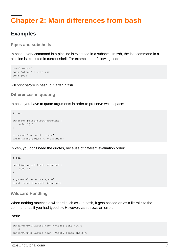# <span id="page-8-0"></span>**Chapter 2: Main differences from bash**

### <span id="page-8-1"></span>**Examples**

<span id="page-8-2"></span>**Pipes and subshells**

In bash, every command in a pipeline is executed in a subshell. In zsh, the last command in a pipeline is executed in current shell. For example, the following code

```
var="before"
echo "after" | read var
echo $var
```
<span id="page-8-3"></span>will print before in bash, but after in zsh.

#### **Differences in quoting**

In bash, you have to quote arguments in order to preserve white space:

```
# bash
function print_first_argument {
    echo "$1"
}
argument="has white space"
print_first_argument "$argument"
```
In Zsh, you don't need the quotes, because of different evaluation order:

```
# zsh
function print_first_argument {
    echo $1
}
argument="has white space"
print_first_argument $argument
```
#### <span id="page-8-4"></span>**Wildcard Handling**

When nothing matches a wildcard such as  $*$  in bash, it gets passed on as a literal  $*$  to the command, as if you had typed \\*. However, zsh throws an error.

#### Bash:

```
duncan@K7DXS-Laptop-Arch:~/test$ echo *.txt
*.txt
duncan@K7DXS-Laptop-Arch:~/test$ touch abc.txt
```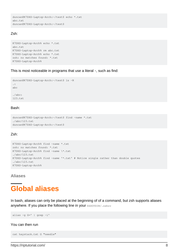```
duncan@K7DXS-Laptop-Arch:~/test$ echo *.txt
abc.txt
duncan@K7DXS-Laptop-Arch:~/test$
```
#### Zsh:

```
K7DXS-Laptop-Arch% echo *.txt
abc.txt
K7DXS-Laptop-Arch% rm abc.txt
K7DXS-Laptop-Arch% echo *.txt
zsh: no matches found: *.txt
K7DXS-Laptop-Arch%
```
This is most noticeable in programs that use a literal  $\star$ , such as find:

```
duncan@K7DXS-Laptop-Arch:~/test$ ls -R
.:
abc
./abc:
123.txt
```
#### Bash:

```
duncan@K7DXS-Laptop-Arch:~/test$ find -name *.txt
./abc/123.txt
duncan@K7DXS-Laptop-Arch:~/test$
```
#### Zsh:

```
K7DXS-Laptop-Arch% find -name *.txt
zsh: no matches found: *.txt
K7DXS-Laptop-Arch% find -name \*.txt
./abc/123.txt
K7DXS-Laptop-Arch% find -name '*.txt' # Notice single rather than double quotes
./abc/123.txt
K7DXS-Laptop-Arch%
```
<span id="page-9-0"></span>**Aliases**

# <span id="page-9-1"></span>**Global aliases**

In bash, aliases can only be placed at the beginning of of a command, but zsh supports aliases anywhere. If you place the following line in your \$ZDOTDIR/.zshrc

alias -g G=' | grep -i'

You can then run

```
cat haystack.txt G "needle"
```
https://riptutorial.com/ 8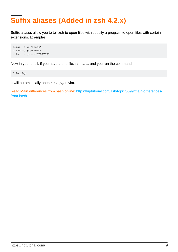# **Suffix aliases (Added in zsh 4.2.x)**

Suffix aliases allow you to tell zsh to open files with specify a program to open files with certain extensions. Examples:

```
alias -s c="emacs"
alias -s php="vim"
alias -s java="$EDITOR"
```
Now in your shell, if you have a php file,  $_{\text{file.php}}$ , and you run the command

file.php

It will automatically open file.php in vim.

Read Main differences from bash online: [https://riptutorial.com/zsh/topic/5599/main-differences](https://riptutorial.com/zsh/topic/5599/main-differences-from-bash)[from-bash](https://riptutorial.com/zsh/topic/5599/main-differences-from-bash)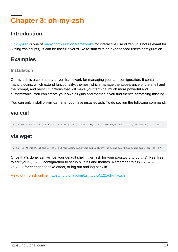# <span id="page-11-0"></span>**Chapter 3: oh-my-zsh**

### <span id="page-11-1"></span>**Introduction**

[Oh-my-zsh](http://ohmyz.sh/) is one of [many configuration frameworks](https://github.com/unixorn/awesome-zsh-plugins) for interactive use of zsh (it is not relevant for writing zsh scripts). It can be useful if you'd like to start with an experienced user's configuration.

### <span id="page-11-2"></span>**Examples**

#### <span id="page-11-3"></span>**Installation**

Oh-my-zsh is a community-driven framework for managing your zsh configuration. It contains many plugins, which extend functionality, themes, which manage the appearance of the shell and the prompt, and helpful functions that will make your terminal much more powerful and customizable. You can create your own plugins and themes if you find there's something missing.

<span id="page-11-4"></span>You can only install oh-my-zsh after you have installed zsh. To do so, run the following command:

### **via curl**

\$ sh -c "\$(curl -fsSL https://raw.github.com/robbyrussell/oh-my-zsh/master/tools/install.sh)"

### <span id="page-11-5"></span>**via wget**

\$ sh -c "\$(wget https://raw.github.com/robbyrussell/oh-my-zsh/master/tools/install.sh -O -)"

Once that's done, zsh will be your default shell (it will ask for your password to do this). Feel free to edit your  $\sim/$ . zshrc configuration to setup plugins and themes. Remember to run  $\frac{1}{2}$  source ~/.zshrc for changes to take effect, or log out and log back in.

Read oh-my-zsh online:<https://riptutorial.com/zsh/topic/5121/oh-my-zsh>